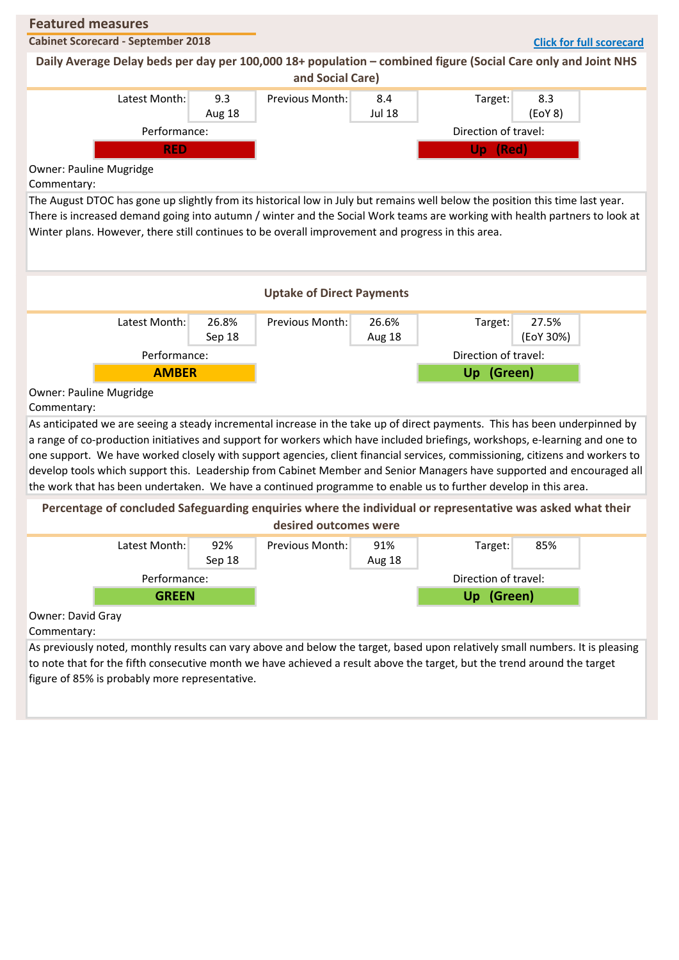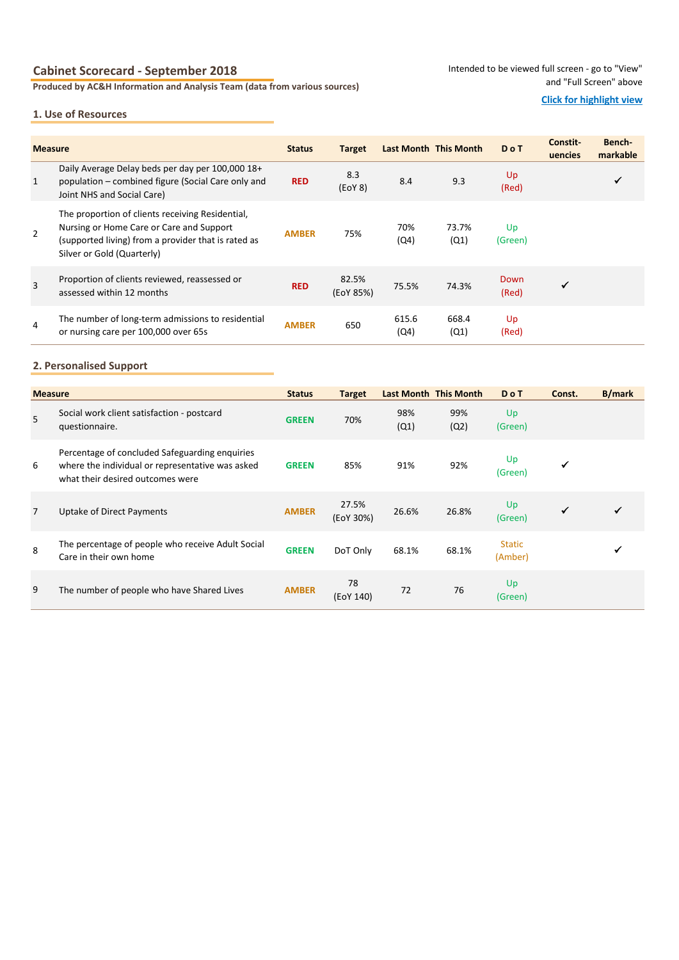## **Cabinet Scorecard - September 2018**

**Produced by AC&H Information and Analysis Team (data from various sources)**

Intended to be viewed full screen - go to "View" and "Full Screen" above

#### **1. Use of Resources**

### **Click for highlight view**

| <b>Measure</b> |                                                                                                                                                                                   | <b>Status</b> | <b>Target</b>      | Last Month This Month |               | <b>DoT</b>    | Constit-<br>uencies | Bench-<br>markable |
|----------------|-----------------------------------------------------------------------------------------------------------------------------------------------------------------------------------|---------------|--------------------|-----------------------|---------------|---------------|---------------------|--------------------|
| $\mathbf{1}$   | Daily Average Delay beds per day per 100,000 18+<br>population – combined figure (Social Care only and<br>Joint NHS and Social Care)                                              | <b>RED</b>    | 8.3<br>(EOY 8)     | 8.4                   | 9.3           | Up<br>(Red)   |                     |                    |
| $\overline{2}$ | The proportion of clients receiving Residential.<br>Nursing or Home Care or Care and Support<br>(supported living) from a provider that is rated as<br>Silver or Gold (Quarterly) | <b>AMBER</b>  | 75%                | 70%<br>(Q4)           | 73.7%<br>(Q1) | Up<br>(Green) |                     |                    |
| $\overline{3}$ | Proportion of clients reviewed, reassessed or<br>assessed within 12 months                                                                                                        | <b>RED</b>    | 82.5%<br>(EoY 85%) | 75.5%                 | 74.3%         | Down<br>(Red) |                     |                    |
| 4              | The number of long-term admissions to residential<br>or nursing care per 100,000 over 65s                                                                                         | <b>AMBER</b>  | 650                | 615.6<br>(Q4)         | 668.4<br>(Q1) | Up<br>(Red)   |                     |                    |

### **2. Personalised Support**

| <b>Measure</b> |                                                                                                                                        | <b>Status</b> | <b>Target</b>      | Last Month This Month |             | <b>DoT</b>               | Const. | <b>B/mark</b> |
|----------------|----------------------------------------------------------------------------------------------------------------------------------------|---------------|--------------------|-----------------------|-------------|--------------------------|--------|---------------|
| 5              | Social work client satisfaction - postcard<br>questionnaire.                                                                           | <b>GREEN</b>  | 70%                | 98%<br>(Q1)           | 99%<br>(Q2) | Up<br>(Green)            |        |               |
| 6              | Percentage of concluded Safeguarding enquiries<br>where the individual or representative was asked<br>what their desired outcomes were | <b>GREEN</b>  | 85%                | 91%                   | 92%         | Up<br>(Green)            |        |               |
| $\overline{7}$ | Uptake of Direct Payments                                                                                                              | <b>AMBER</b>  | 27.5%<br>(EoY 30%) | 26.6%                 | 26.8%       | Up<br>(Green)            |        |               |
| 8              | The percentage of people who receive Adult Social<br>Care in their own home                                                            | <b>GREEN</b>  | DoT Only           | 68.1%                 | 68.1%       | <b>Static</b><br>(Amber) |        |               |
| 9              | The number of people who have Shared Lives                                                                                             | <b>AMBER</b>  | 78<br>(EoY 140)    | 72                    | 76          | Up<br>(Green)            |        |               |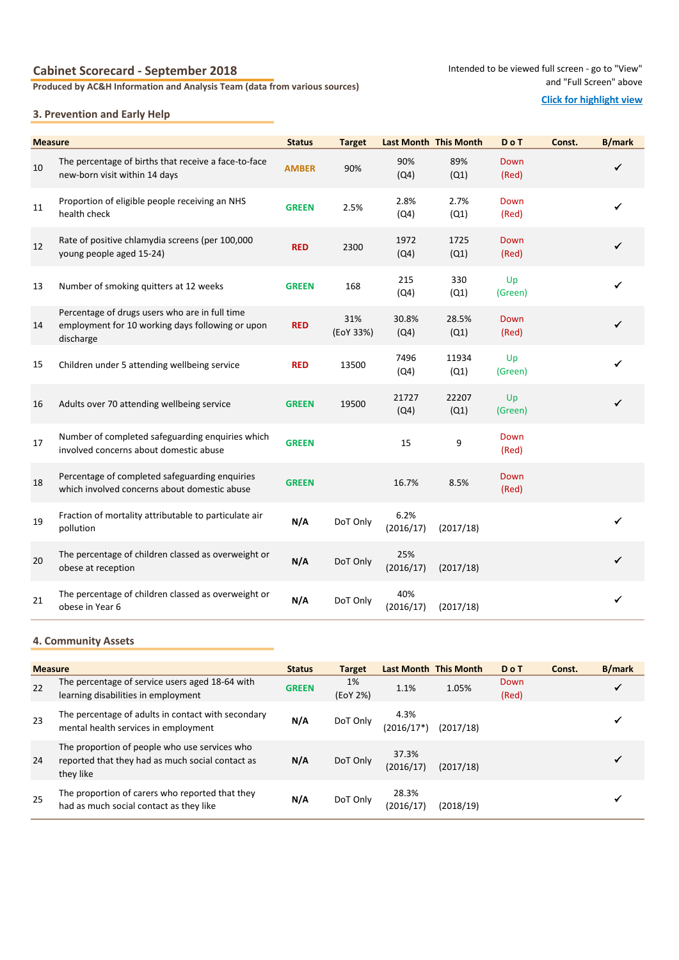## **Cabinet Scorecard - September 2018**

**Produced by AC&H Information and Analysis Team (data from various sources)**

#### Intended to be viewed full screen - go to "View" and "Full Screen" above

#### **Click for highlight view**

## **3. Prevention and Early Help**

| <b>Measure</b> |                                                                                                                 | <b>Status</b> | <b>Target</b>    | Last Month This Month |               | <b>DoT</b>    | Const. | <b>B/mark</b> |
|----------------|-----------------------------------------------------------------------------------------------------------------|---------------|------------------|-----------------------|---------------|---------------|--------|---------------|
| 10             | The percentage of births that receive a face-to-face<br>new-born visit within 14 days                           | <b>AMBER</b>  | 90%              | 90%<br>(Q4)           | 89%<br>(Q1)   | Down<br>(Red) |        | ✓             |
| 11             | Proportion of eligible people receiving an NHS<br>health check                                                  | <b>GREEN</b>  | 2.5%             | 2.8%<br>(Q4)          | 2.7%<br>(Q1)  | Down<br>(Red) |        | ✔             |
| 12             | Rate of positive chlamydia screens (per 100,000<br>young people aged 15-24)                                     | <b>RED</b>    | 2300             | 1972<br>(Q4)          | 1725<br>(Q1)  | Down<br>(Red) |        |               |
| 13             | Number of smoking quitters at 12 weeks                                                                          | <b>GREEN</b>  | 168              | 215<br>(Q4)           | 330<br>(Q1)   | Up<br>(Green) |        | ✔             |
| 14             | Percentage of drugs users who are in full time<br>employment for 10 working days following or upon<br>discharge | <b>RED</b>    | 31%<br>(EoY 33%) | 30.8%<br>(Q4)         | 28.5%<br>(Q1) | Down<br>(Red) |        | ✓             |
| 15             | Children under 5 attending wellbeing service                                                                    | <b>RED</b>    | 13500            | 7496<br>(Q4)          | 11934<br>(Q1) | Up<br>(Green) |        |               |
| 16             | Adults over 70 attending wellbeing service                                                                      | <b>GREEN</b>  | 19500            | 21727<br>(Q4)         | 22207<br>(Q1) | Up<br>(Green) |        |               |
| 17             | Number of completed safeguarding enquiries which<br>involved concerns about domestic abuse                      | <b>GREEN</b>  |                  | 15                    | 9             | Down<br>(Red) |        |               |
| 18             | Percentage of completed safeguarding enquiries<br>which involved concerns about domestic abuse                  | <b>GREEN</b>  |                  | 16.7%                 | 8.5%          | Down<br>(Red) |        |               |
| 19             | Fraction of mortality attributable to particulate air<br>pollution                                              | N/A           | DoT Only         | 6.2%<br>(2016/17)     | (2017/18)     |               |        | ✔             |
| 20             | The percentage of children classed as overweight or<br>obese at reception                                       | N/A           | DoT Only         | 25%<br>(2016/17)      | (2017/18)     |               |        | ✓             |
| 21             | The percentage of children classed as overweight or<br>obese in Year 6                                          | N/A           | DoT Only         | 40%<br>(2016/17)      | (2017/18)     |               |        |               |

### **4. Community Assets**

|    | <b>Measure</b>                                                                                                 |              | <b>Target</b>  |                      | Last Month This Month | <b>DoT</b>    | Const. | <b>B/mark</b> |
|----|----------------------------------------------------------------------------------------------------------------|--------------|----------------|----------------------|-----------------------|---------------|--------|---------------|
| 22 | The percentage of service users aged 18-64 with<br>learning disabilities in employment                         | <b>GREEN</b> | 1%<br>(EoY 2%) | 1.1%                 | 1.05%                 | Down<br>(Red) |        |               |
| 23 | The percentage of adults in contact with secondary<br>mental health services in employment                     | N/A          | DoT Only       | 4.3%<br>$(2016/17*)$ | (2017/18)             |               |        |               |
| 24 | The proportion of people who use services who<br>reported that they had as much social contact as<br>they like | N/A          | DoT Only       | 37.3%<br>(2016/17)   | (2017/18)             |               |        |               |
| 25 | The proportion of carers who reported that they<br>had as much social contact as they like                     | N/A          | DoT Only       | 28.3%<br>(2016/17)   | (2018/19)             |               |        |               |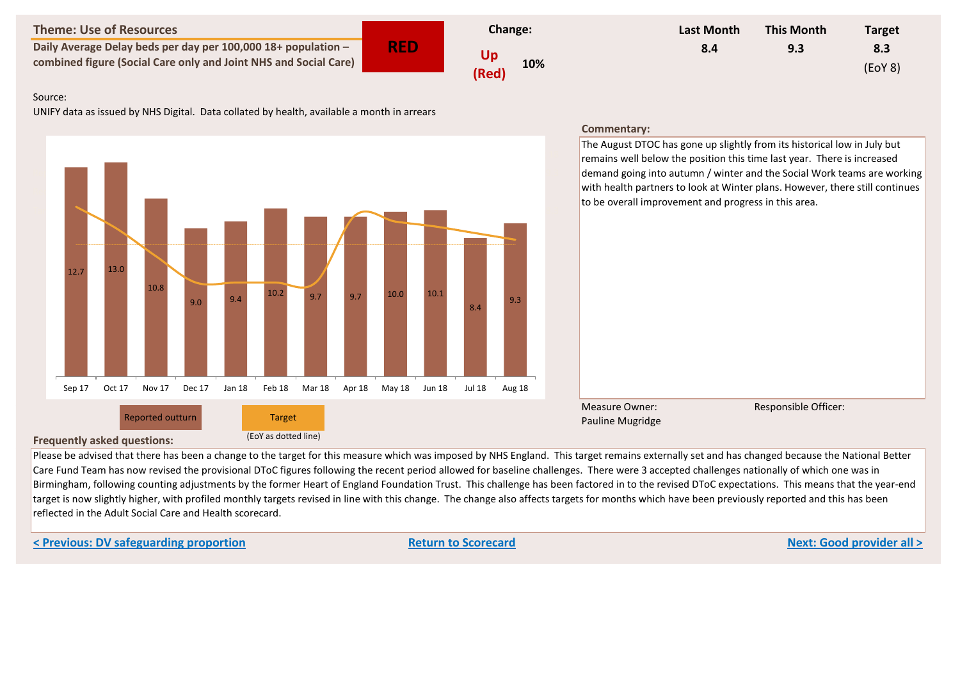**Daily Average Delay beds per day per 100,000 18+ population – combined figure (Social Care only and Joint NHS and Social Care) Up** 

**RED**



| Last Month | <b>This Month</b> | <b>Target</b> |
|------------|-------------------|---------------|
| 8.4        | 9.3               | 8.3           |
|            |                   | (EOY 8)       |

### Source:

UNIFY data as issued by NHS Digital. Data collated by health, available a month in arrears



# **Frequently asked questions:** (EoY as dotted line)

Please be advised that there has been a change to the target for this measure which was imposed by NHS England. This target remains externally set and has changed because the National Better Care Fund Team has now revised the provisional DToC figures following the recent period allowed for baseline challenges. There were 3 accepted challenges nationally of which one was in Birmingham, following counting adjustments by the former Heart of England Foundation Trust. This challenge has been factored in to the revised DToC expectations. This means that the year-end target is now slightly higher, with profiled monthly targets revised in line with this change. The change also affects targets for months which have been previously reported and this has been reflected in the Adult Social Care and Health scorecard.

**< Previous: DV safeguarding proportion Return to Scorecard Next: Good provider all >**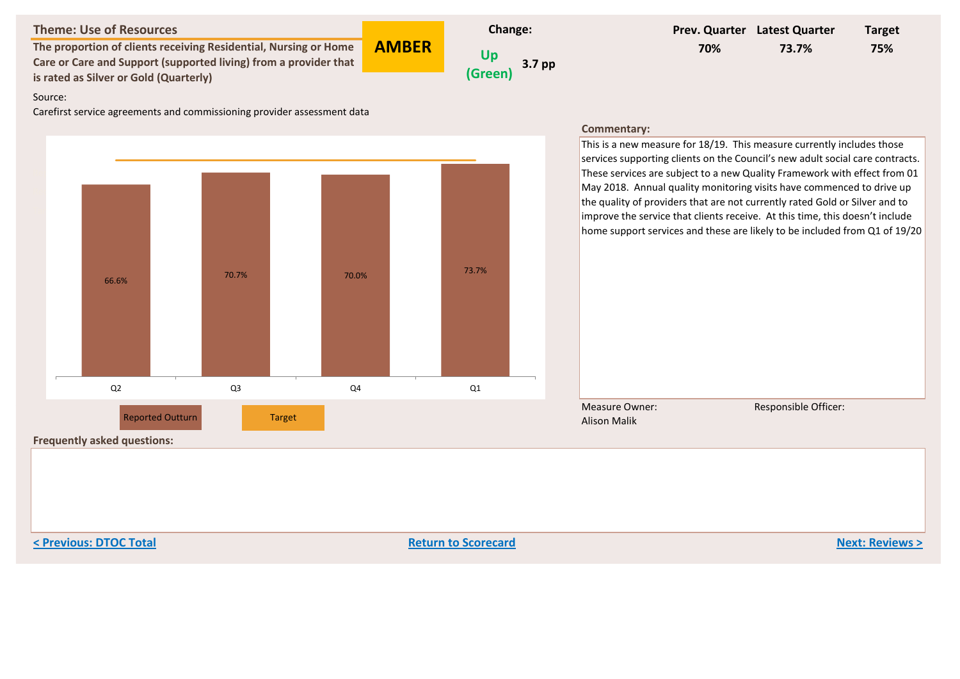**The proportion of clients receiving Residential, Nursing or Home Care or Care and Support (supported living) from a provider that is rated as Silver or Gold (Quarterly)**



**AMBER**

# **Prev. Quarter Latest Quarter Target 70% 73.7% 75%**

#### Source:

Carefirst service agreements and commissioning provider assessment data



#### **Commentary:**

This is a new measure for 18/19. This measure currently includes those services supporting clients on the Council's new adult social care contracts. These services are subject to a new Quality Framework with effect from 01 May 2018. Annual quality monitoring visits have commenced to drive up the quality of providers that are not currently rated Gold or Silver and to improve the service that clients receive. At this time, this doesn't include home support services and these are likely to be included from Q1 of 19/20

Measure Owner: Alison Malik

Responsible Officer:

**Frequently asked questions:**

**< Previous: DTOC Total Return to Scorecard Next: Reviews >**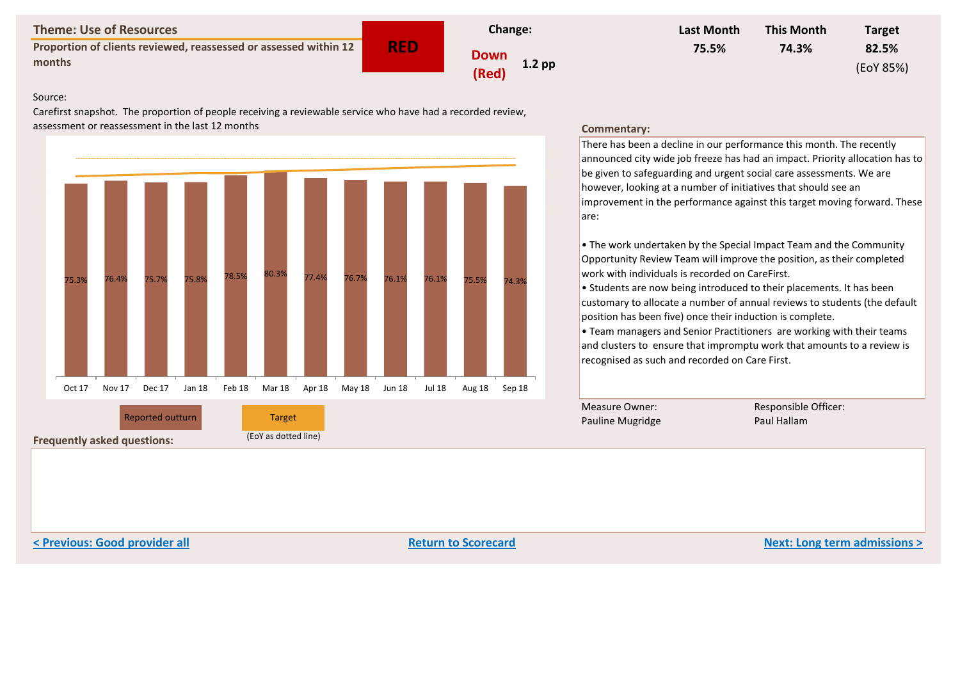**Proportion of clients reviewed, reassessed or assessed within 12 months Down**<br>months **b Down** 

**RED Change: (Red) 1.2 pp**



#### Source:

Carefirst snapshot. The proportion of people receiving a reviewable service who have had a recorded review, assessment or reassessment in the last 12 months



## **Frequently asked questions:** (EoY as dotted line)

#### **Commentary:**

There has been a decline in our performance this month. The recently announced city wide job freeze has had an impact. Priority allocation has to be given to safeguarding and urgent social care assessments. We are however, looking at a number of initiatives that should see an improvement in the performance against this target moving forward. These are:

• The work undertaken by the Special Impact Team and the Community Opportunity Review Team will improve the position, as their completed work with individuals is recorded on CareFirst.

• Students are now being introduced to their placements. It has been customary to allocate a number of annual reviews to students (the default position has been five) once their induction is complete.

• Team managers and Senior Practitioners are working with their teams and clusters to ensure that impromptu work that amounts to a review is recognised as such and recorded on Care First.

Measure Owner: Pauline Mugridge Responsible Officer:

**< Previous: Good provider all Return to Scorecard Next: Long term admissions >**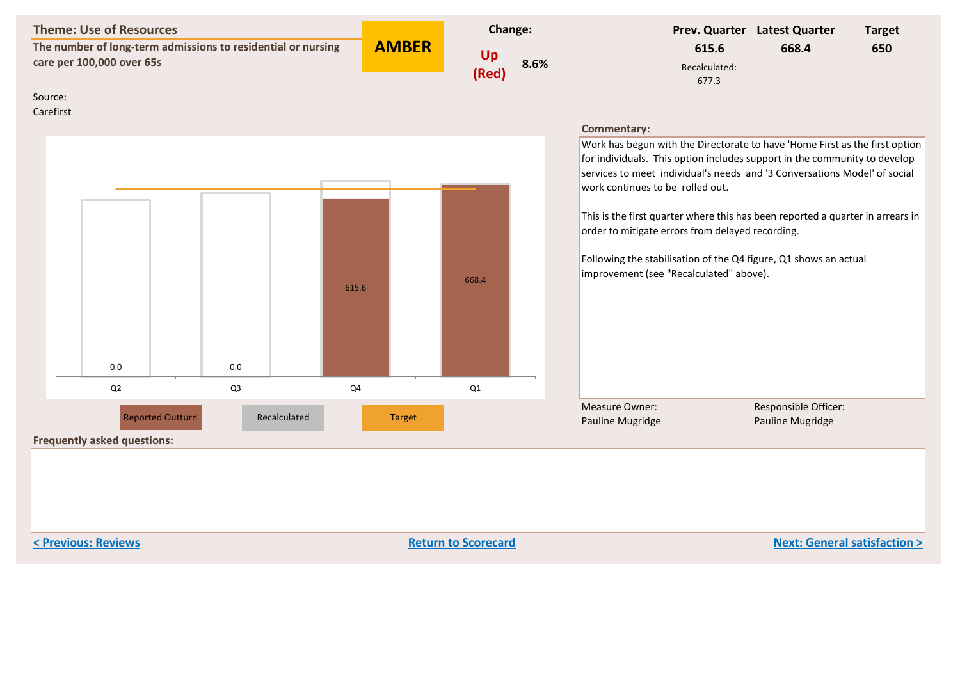**The number of long-term admissions to residential or nursing care per 100,000 over 65s Up** care per 100,000 over 65s

**AMBER**



|               | Prev. Quarter Latest Quarter | <b>Target</b> |
|---------------|------------------------------|---------------|
| 615.6         | 668.4                        | 650           |
| Recalculated: |                              |               |
| 677.3         |                              |               |

Source:

Carefirst



#### **Commentary:**

Work has begun with the Directorate to have 'Home First as the first option for individuals. This option includes support in the community to develop  $|$ services to meet individual's needs and '3 Conversations Model' of social work continues to be rolled out.

This is the first quarter where this has been reported a quarter in arrears in order to mitigate errors from delayed recording.

Following the stabilisation of the Q4 figure, Q1 shows an actual improvement (see "Recalculated" above).

Measure Owner: Pauline Mugridge Responsible Officer:

**Frequently asked questions:**

**< Previous: Reviews Return to Scorecard Next: General satisfaction >**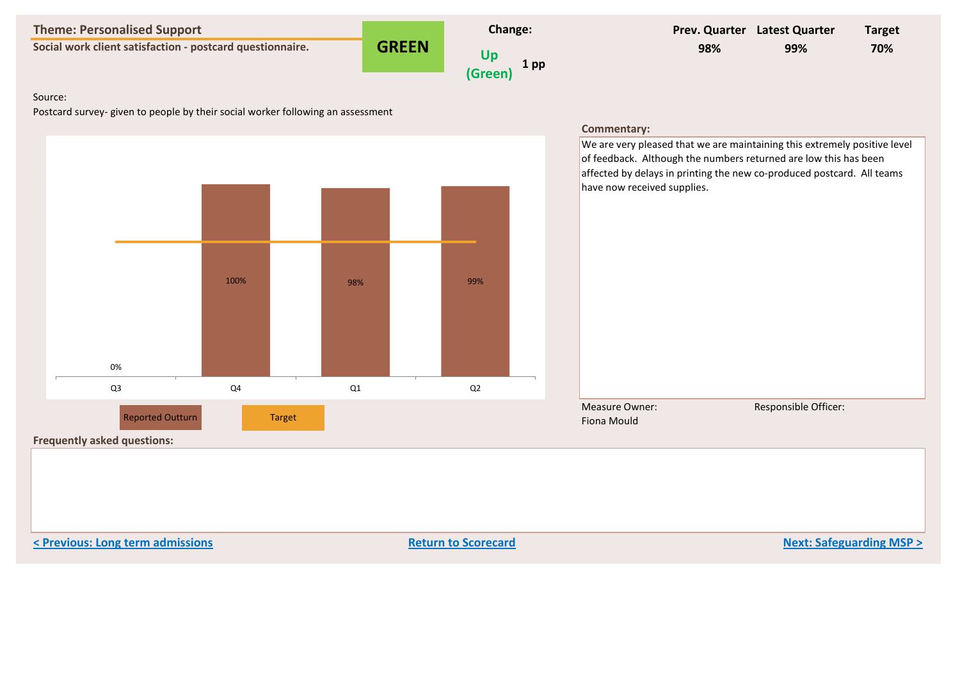**Social work client satisfaction - postcard questionnaire. CREEN** 

**GREEN**



# **Prev. Quarter Latest Quarter Target 98% 99% 70%**

### Source:

Postcard survey- given to people by their social worker following an assessment



**< Previous: Long term admissions Return to Scorecard Next: Safeguarding MSP >**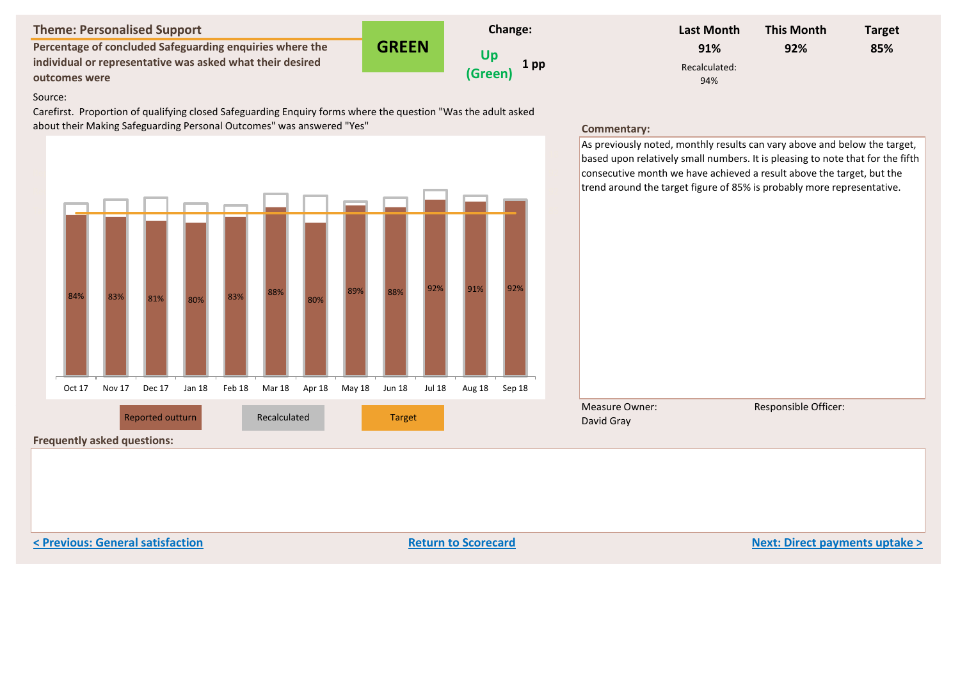**Percentage of concluded Safeguarding enquiries where the individual or representative was asked what their desired outcomes were**

**GREEN Change: Up (Green) 1 pp**

| Last Month    | <b>This Month</b> | <b>Target</b> |
|---------------|-------------------|---------------|
| 91%           | 92%               | 85%           |
| Recalculated: |                   |               |
| 94%           |                   |               |

#### Source:

Carefirst. Proportion of qualifying closed Safeguarding Enquiry forms where the question "Was the adult asked about their Making Safeguarding Personal Outcomes" was answered "Yes"



As previously noted, monthly results can vary above and below the target, based upon relatively small numbers. It is pleasing to note that for the fifth consecutive month we have achieved a result above the target, but the trend around the target figure of 85% is probably more representative.



Measure Owner: David Gray

Responsible Officer:

**Frequently asked questions:**

**< Previous: General satisfaction Return to Scorecard Next: Direct payments uptake >**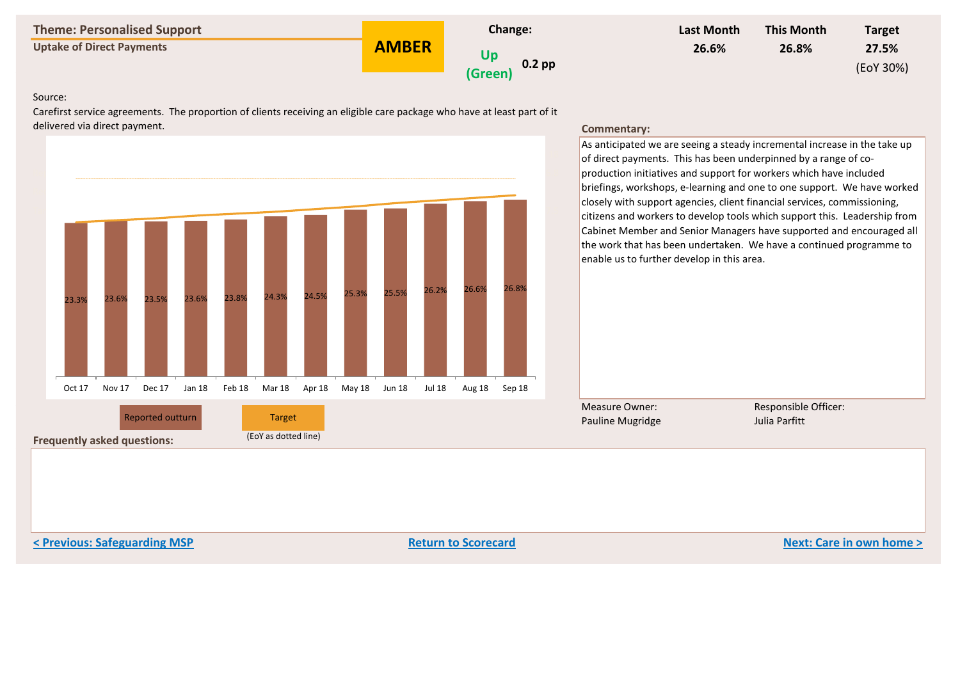**Uptake of Direct Payments CONSER UP AMBER** 

**AMBER**



| Last Month | <b>This Month</b> | <b>Target</b> |
|------------|-------------------|---------------|
| 26.6%      | 26.8%             | 27.5%         |
|            |                   | (EoY 30%)     |

#### Source:

Carefirst service agreements. The proportion of clients receiving an eligible care package who have at least part of it delivered via direct payment.

Reported 23.3 23.6 23.5 23.6 23.8 24.3 24.5 25.3 25.5 26 26.6 26.8

Target 23.4 23.7 24 24.4 24.7 25 25.4 25.8 26.3 27 27.1 27.5 EoY Target 30 30 30 30 30 30 30 30 30 30 30 30

23.3% 23.6% 23.5% 23.6% 23.8% 24.3% 24.5% 25.3% 25.5% 26.2% 26.6% 26.8%

Oct 17 Nov 17 Dec 17 Jan 18 Feb 18 Mar 18 Apr 18 May 18 Jun 18 Jul 18 Aug 18 Sep 18



As anticipated we are seeing a steady incremental increase in the take up of direct payments. This has been underpinned by a range of coproduction initiatives and support for workers which have included briefings, workshops, e-learning and one to one support. We have worked closely with support agencies, client financial services, commissioning, citizens and workers to develop tools which support this. Leadership from Cabinet Member and Senior Managers have supported and encouraged all the work that has been undertaken. We have a continued programme to enable us to further develop in this area.

Measure Owner: Pauline Mugridge Reported outturn **Executive Construction Construction Construction** Pauline Mugridge and Sulia Parfitt Reported out

Responsible Officer:

**Frequently asked questions:** (EoY as dotted line)

**< Previous: Safeguarding MSP Return to Scorecard Next: Care in own home >**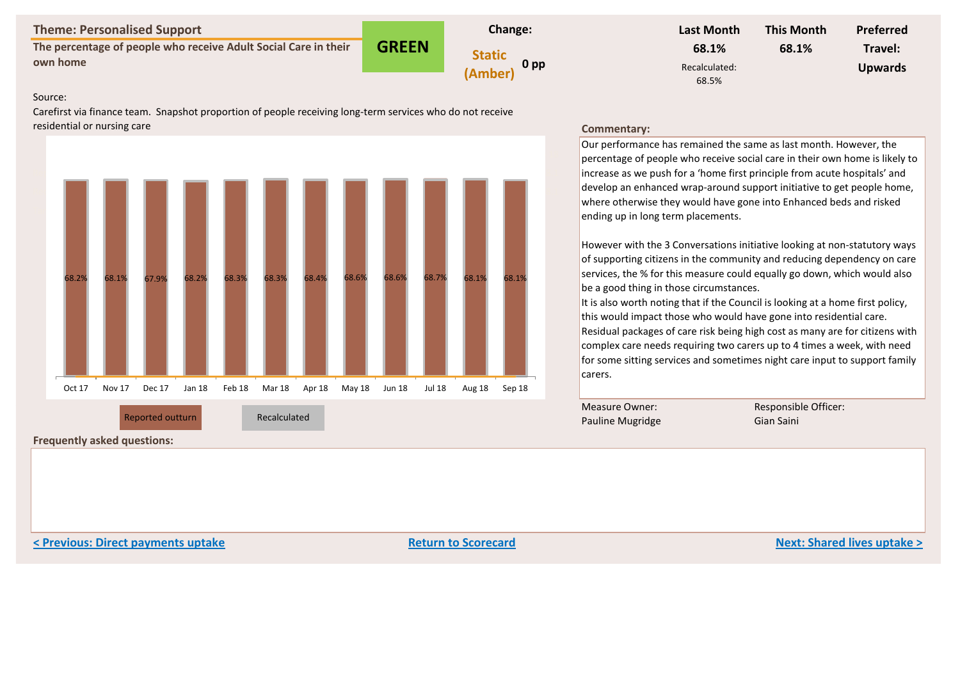**The percentage of people who receive Adult Social Care in their own home** Static own home

**GREEN Change: (Amber) 0 pp**



#### Source:

Carefirst via finance team. Snapshot proportion of people receiving long-term services who do not receive residential or nursing care



**Frequently asked questions:**

#### **Commentary:**

Our performance has remained the same as last month. However, the percentage of people who receive social care in their own home is likely to increase as we push for a 'home first principle from acute hospitals' and  $|$ develop an enhanced wrap-around support initiative to get people home. where otherwise they would have gone into Enhanced beds and risked ending up in long term placements.

However with the 3 Conversations initiative looking at non-statutory ways of supporting citizens in the community and reducing dependency on care services, the % for this measure could equally go down, which would also be a good thing in those circumstances.

It is also worth noting that if the Council is looking at a home first policy, this would impact those who would have gone into residential care. Residual packages of care risk being high cost as many are for citizens with complex care needs requiring two carers up to 4 times a week, with need for some sitting services and sometimes night care input to support family carers.

Measure Owner: Pauline Mugridge Reported outturn **Executes Constructed Executes Constructed** Construction Constructed Constructed Construction Con

Responsible Officer:

**Example 2018 Return to Scorecard Return to Scorecard Return 10 Scorecard Return to Scorecard Next: Shared lives uptake >**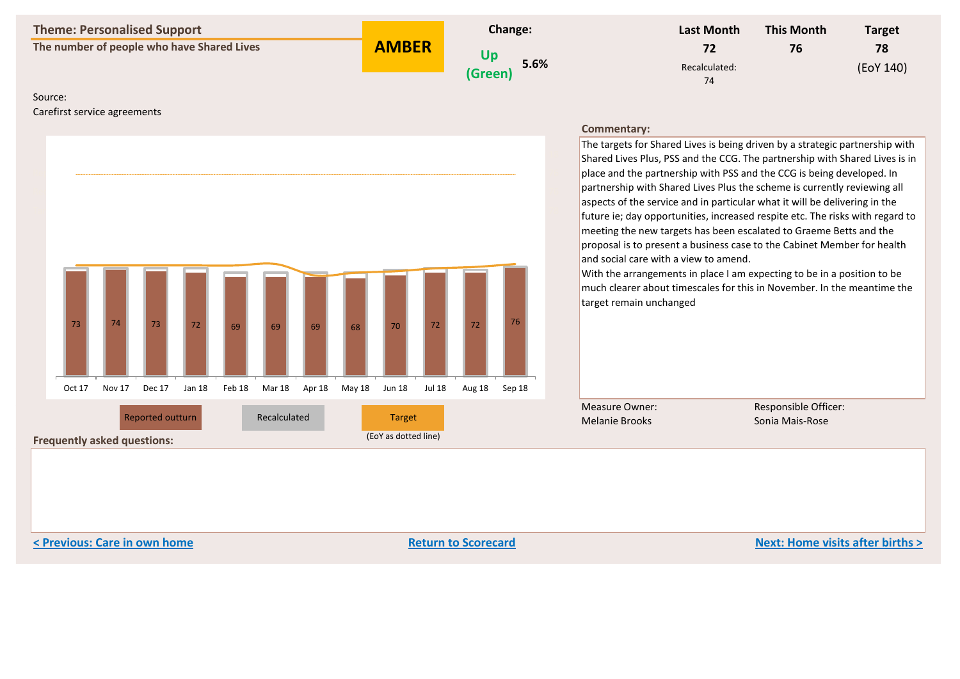**The number of people who have Shared Lives CONSOMER UP** 

**AMBER**



| Last Month          | <b>This Month</b> | <b>Target</b> |
|---------------------|-------------------|---------------|
| 72                  | 76                | 78            |
| Recalculated:<br>74 |                   | (EoY 140)     |

### Source:

Carefirst service agreements



#### **Commentary:**

The targets for Shared Lives is being driven by a strategic partnership with Shared Lives Plus, PSS and the CCG. The partnership with Shared Lives is in place and the partnership with PSS and the CCG is being developed. In  $|$ partnership with Shared Lives Plus the scheme is currently reviewing all aspects of the service and in particular what it will be delivering in the future ie; day opportunities, increased respite etc. The risks with regard to meeting the new targets has been escalated to Graeme Betts and the proposal is to present a business case to the Cabinet Member for health and social care with a view to amend.

With the arrangements in place I am expecting to be in a position to be  $\vert$ much clearer about timescales for this in November. In the meantime the target remain unchanged

Measure Owner: Melanie Brooks

Responsible Officer:

**Frequently asked questions:** (EoY as dotted line)

**< Previous: Care in own home Return to Scorecard Next: Home visits after births >**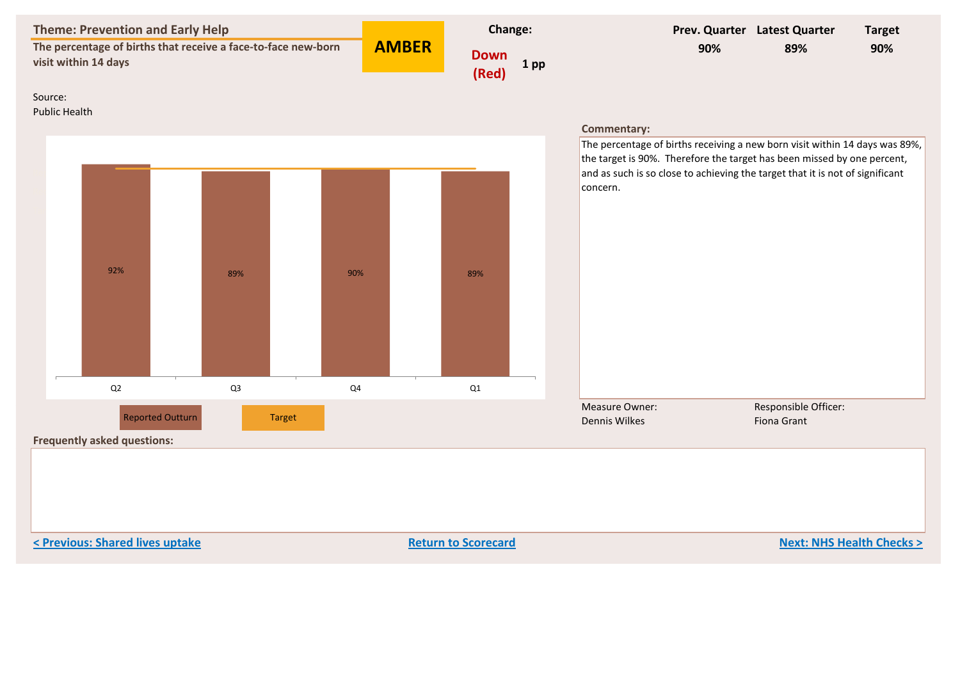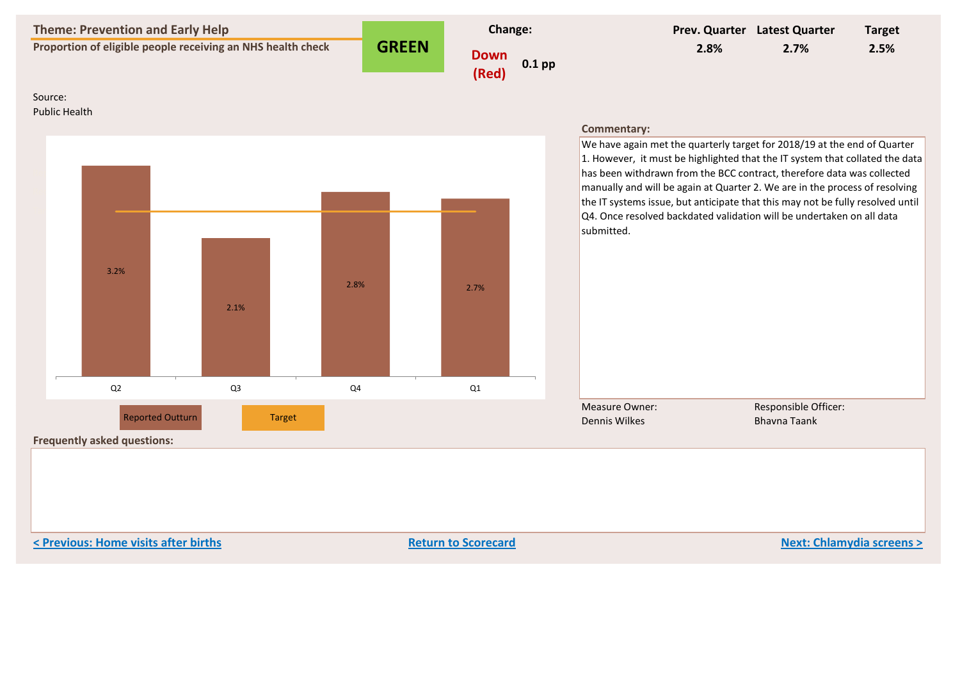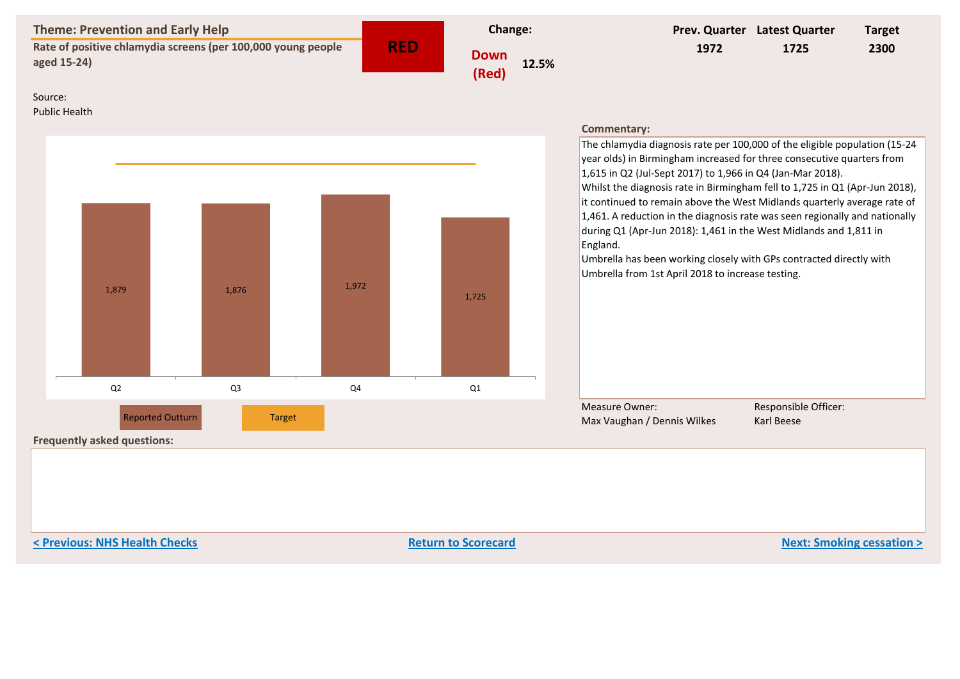| <b>Theme: Prevention and Early Help</b><br>Rate of positive chlamydia screens (per 100,000 young people |                                                               |                | Change:              |       |      | Prev. Quarter Latest Quarter                                                                                                                                                                                                                                                                                                                                                                                                                                                                                      | <b>Target</b>        |  |
|---------------------------------------------------------------------------------------------------------|---------------------------------------------------------------|----------------|----------------------|-------|------|-------------------------------------------------------------------------------------------------------------------------------------------------------------------------------------------------------------------------------------------------------------------------------------------------------------------------------------------------------------------------------------------------------------------------------------------------------------------------------------------------------------------|----------------------|--|
|                                                                                                         | <b>RED</b><br>aged 15-24)                                     |                | <b>Down</b><br>(Red) | 12.5% | 1972 | 1725                                                                                                                                                                                                                                                                                                                                                                                                                                                                                                              | 2300                 |  |
| Source:<br><b>Public Health</b>                                                                         |                                                               |                |                      |       |      | <b>Commentary:</b><br>The chlamydia diagnosis rate per 100,000 of the eligible population (15-24<br>year olds) in Birmingham increased for three consecutive quarters from                                                                                                                                                                                                                                                                                                                                        |                      |  |
|                                                                                                         | 1,879                                                         | 1,876          | 1,972                | 1,725 |      | 1,615 in Q2 (Jul-Sept 2017) to 1,966 in Q4 (Jan-Mar 2018).<br>Whilst the diagnosis rate in Birmingham fell to 1,725 in Q1 (Apr-Jun 2018),<br>it continued to remain above the West Midlands quarterly average rate of<br>1,461. A reduction in the diagnosis rate was seen regionally and nationally<br>during Q1 (Apr-Jun 2018): 1,461 in the West Midlands and 1,811 in<br>England.<br>Umbrella has been working closely with GPs contracted directly with<br>Umbrella from 1st April 2018 to increase testing. |                      |  |
|                                                                                                         | Q <sub>2</sub>                                                | Q <sub>3</sub> | Q4                   | Q1    |      | <b>Measure Owner:</b>                                                                                                                                                                                                                                                                                                                                                                                                                                                                                             | Responsible Officer: |  |
|                                                                                                         | <b>Reported Outturn</b><br><b>Frequently asked questions:</b> | <b>Target</b>  |                      |       |      | Max Vaughan / Dennis Wilkes                                                                                                                                                                                                                                                                                                                                                                                                                                                                                       | Karl Beese           |  |

**Previous: NHS Health Checks Return to Scorecard Return to Scorecard Return to Scorecard Next: Smoking cessation >**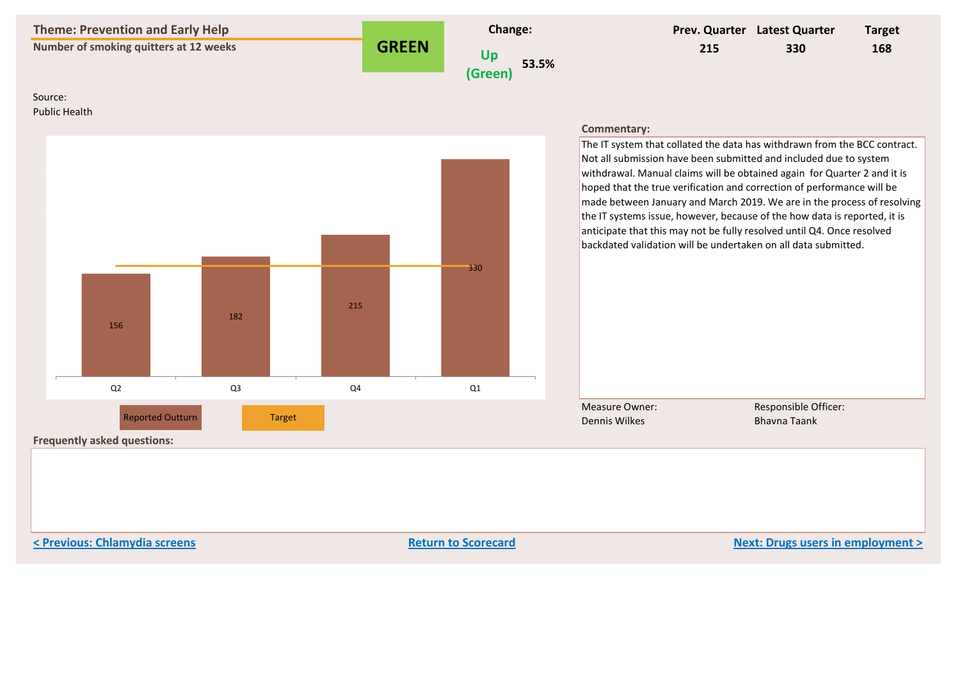

**< Previous: Chlamydia screens Return to Scorecard Next: Drugs users in employment >**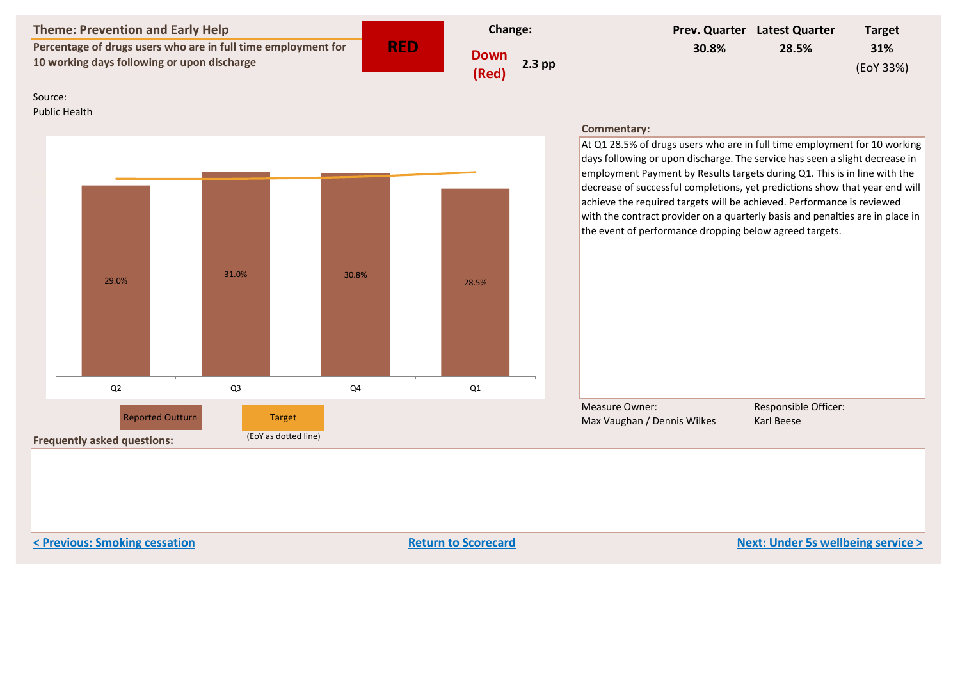| <b>Theme: Prevention and Early Help</b><br>Percentage of drugs users who are in full time employment for<br>10 working days following or upon discharge |                                                               |                                | <b>RED</b><br><b>Down</b><br>(Red) |  | <b>Change:</b> |       |                                                                                                                                                                                                                                                                                                                                            | Prev. Quarter Latest Quarter | <b>Target</b><br>31%<br>(EoY 33%)  |  |
|---------------------------------------------------------------------------------------------------------------------------------------------------------|---------------------------------------------------------------|--------------------------------|------------------------------------|--|----------------|-------|--------------------------------------------------------------------------------------------------------------------------------------------------------------------------------------------------------------------------------------------------------------------------------------------------------------------------------------------|------------------------------|------------------------------------|--|
|                                                                                                                                                         |                                                               |                                |                                    |  | $2.3$ pp       | 30.8% |                                                                                                                                                                                                                                                                                                                                            | 28.5%                        |                                    |  |
| Source:<br><b>Public Health</b>                                                                                                                         |                                                               |                                |                                    |  |                |       | <b>Commentary:</b><br>At Q1 28.5% of drugs users who are in full time employment for 10 working<br>days following or upon discharge. The service has seen a slight decrease in<br>employment Payment by Results targets during Q1. This is in line with the<br>decrease of successful completions, yet predictions show that year end will |                              |                                    |  |
|                                                                                                                                                         | 29.0%                                                         | 31.0%                          | 30.8%                              |  | 28.5%          |       | achieve the required targets will be achieved. Performance is reviewed<br>with the contract provider on a quarterly basis and penalties are in place in<br>the event of performance dropping below agreed targets.                                                                                                                         |                              |                                    |  |
|                                                                                                                                                         | Q2                                                            | Q <sub>3</sub>                 | Q4                                 |  | Q1             |       |                                                                                                                                                                                                                                                                                                                                            |                              |                                    |  |
|                                                                                                                                                         | <b>Reported Outturn</b><br><b>Frequently asked questions:</b> | Target<br>(EoY as dotted line) |                                    |  |                |       | <b>Measure Owner:</b><br>Max Vaughan / Dennis Wilkes                                                                                                                                                                                                                                                                                       |                              | Responsible Officer:<br>Karl Beese |  |

**Example 2 A Previous: Smoking cessation Return to Scorecard Return to Scorecard Next: Under 5s wellbeing service >**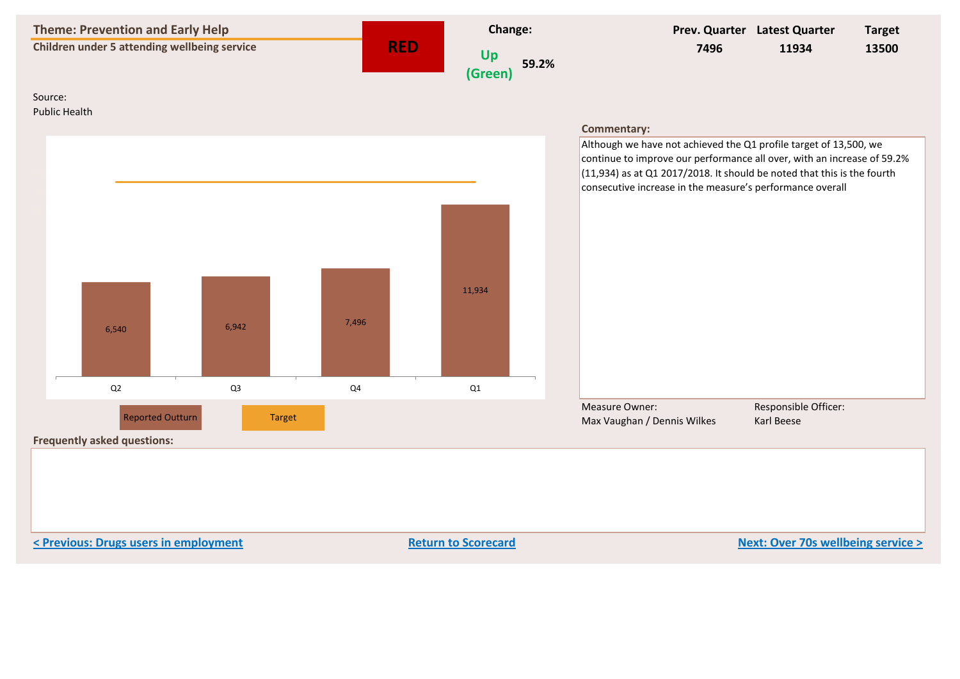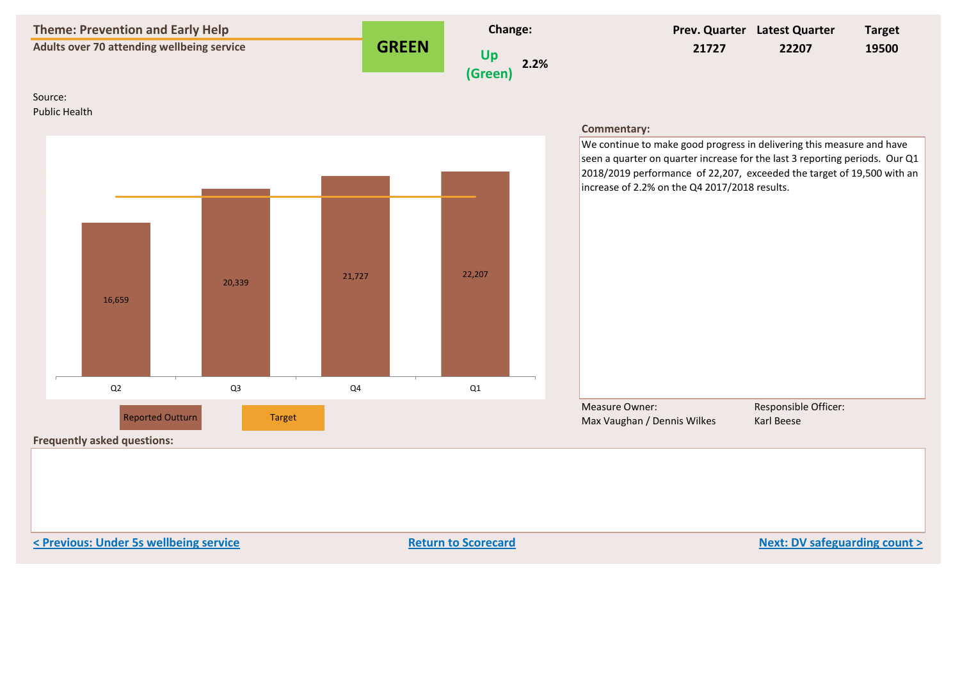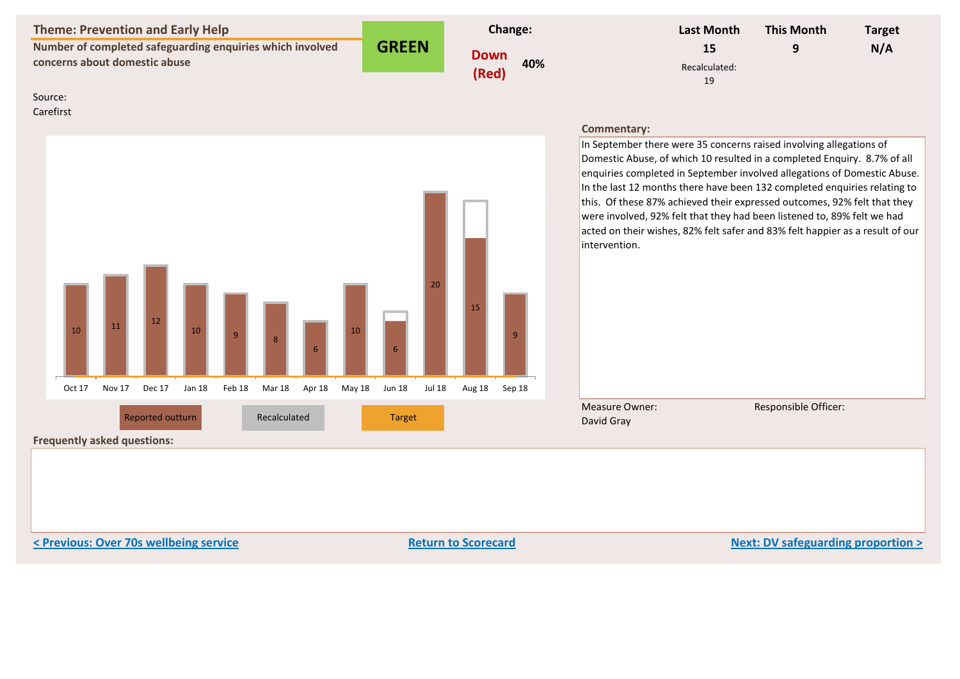| Theme: Prevention and Early Help                          |              | <b>Change:</b> | Last Month          | <b>This Month</b> | <b>Target</b> |
|-----------------------------------------------------------|--------------|----------------|---------------------|-------------------|---------------|
| Number of completed safeguarding enquiries which involved | <b>GREEN</b> | Down           |                     |                   | N/A           |
| concerns about domestic abuse                             |              | 40%<br>(Red)   | Recalculated:<br>19 |                   |               |

# Source:

Carefirst



#### **Commentary:**

In September there were 35 concerns raised involving allegations of Domestic Abuse, of which 10 resulted in a completed Enquiry. 8.7% of all enquiries completed in September involved allegations of Domestic Abuse. In the last 12 months there have been 132 completed enquiries relating to this. Of these 87% achieved their expressed outcomes, 92% felt that they were involved, 92% felt that they had been listened to, 89% felt we had acted on their wishes, 82% felt safer and 83% felt happier as a result of our intervention.

Measure Owner: David Gray

Responsible Officer:

**Frequently asked questions:**

**Example 19 Section 2 Section 1 Section 2 Section 2 Section 2 Return to Scorecard Return to Scorecard Next: DV safeguarding proportion >**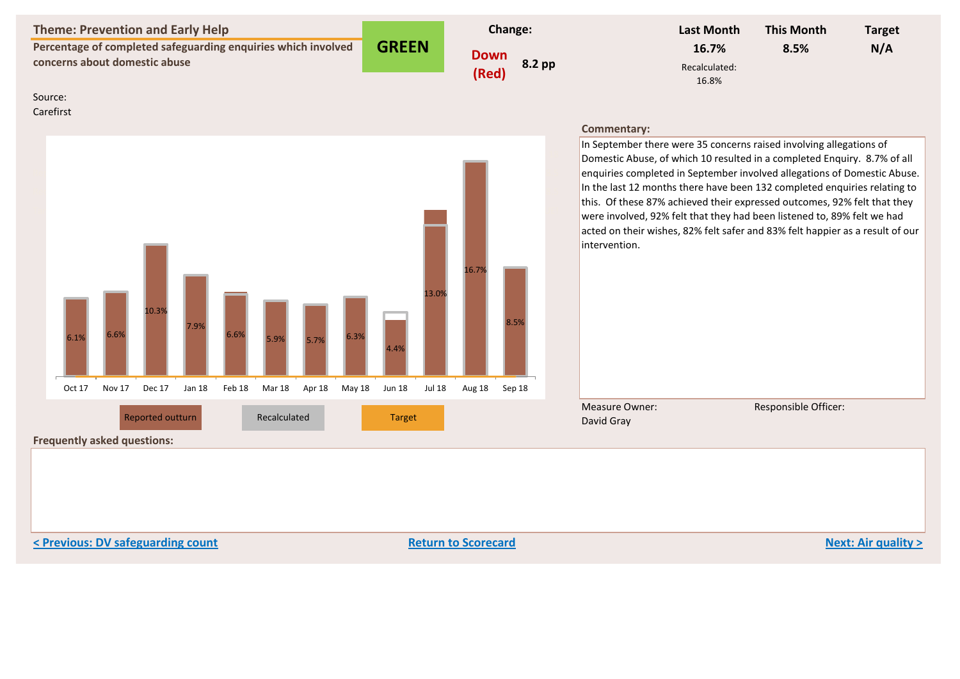| <b>Theme: Prevention and Early Help</b>                                                        |              | <b>Change:</b>                 | <b>Last Month</b>               | <b>This Month</b> | <b>Target</b> |
|------------------------------------------------------------------------------------------------|--------------|--------------------------------|---------------------------------|-------------------|---------------|
| Percentage of completed safeguarding enquiries which involved<br>concerns about domestic abuse | <b>GREEN</b> | <b>Down</b><br>8.2 pp<br>(Red) | 16.7%<br>Recalculated:<br>16.8% | 8.5%              | N/A           |

Source: Carefirst

Oct 17 Nov 17 Dec 17 Jan 18 Feb 18 Mar 18 Apr 18 May 18 Jun 18 ## Aug 18 Sep 18 Reported 6.1 6.6 10.3 7.9 6.6 5.9 5.7 6.3 4.4 13 16.7 8.5 Recalc 6.1 6.6 10.3 7.9 6.4 5.9 5.6 6.2 5 12 16.8 8.5 Target #VALUE! #VALUE! #VALUE! #VALUE! #VALUE! #VALUE! ###### #VALUE! #VALUE! ## #VALUE! #VALUE! EoY Target #VALUE! #VALUE! #VALUE! #VALUE! #VALUE! #VALUE! ###### #VALUE! #VALUE! ## #VALUE! #VALUE! Reported outturn **Recalculated** Target  $6.1\%$  6.6% 10.3% 7.9% 6.6% 5.9% 5.7% 6.3% 4.4% 13.0% 16.7% 8.5% Oct 17 Nov 17 Dec 17 Jan 18 Feb 18 Mar 18 Apr 18 May 18 Jun 18 Jul 18 Aug 18 Sep 18

#### **Commentary:**

In September there were 35 concerns raised involving allegations of Domestic Abuse, of which 10 resulted in a completed Enquiry. 8.7% of all enquiries completed in September involved allegations of Domestic Abuse. In the last 12 months there have been 132 completed enquiries relating to this. Of these 87% achieved their expressed outcomes, 92% felt that they were involved, 92% felt that they had been listened to, 89% felt we had acted on their wishes, 82% felt safer and 83% felt happier as a result of our intervention.

Measure Owner: David Gray

Responsible Officer:

**< Previous: DV safeguarding count Return to Scorecard Next: Air quality >**

**Frequently asked questions:**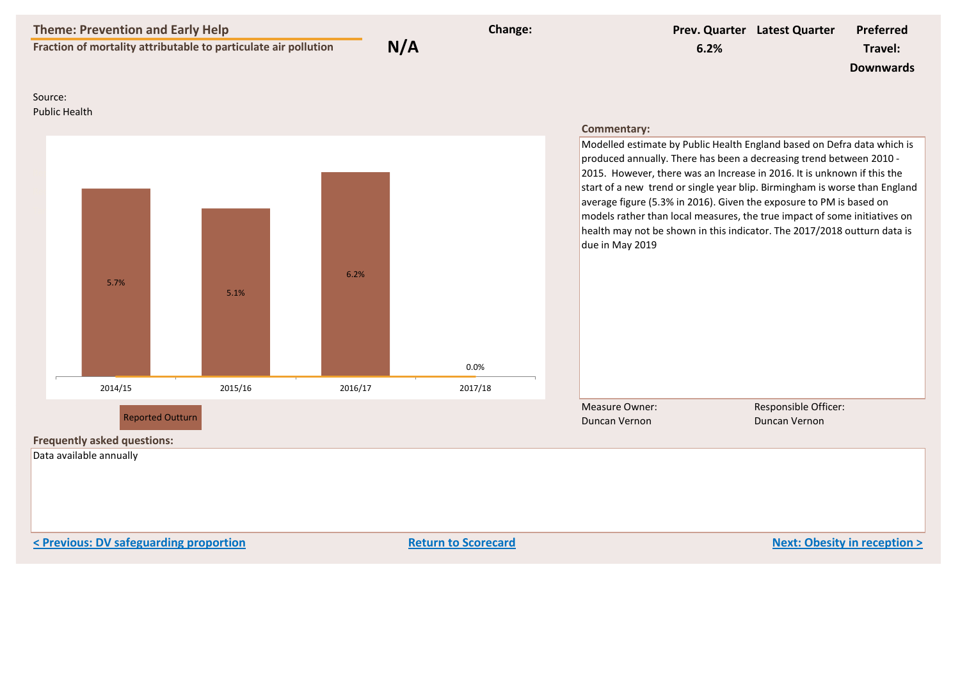|                                 | <b>Theme: Prevention and Early Help</b>                                                  | Fraction of mortality attributable to particulate air pollution | N/A     | Change: | 6.2%                                                                                                                                                                                                                                                                                                                                                                                                                                                                                                                                                                      | Prev. Quarter Latest Quarter          | <b>Preferred</b><br>Travel:<br><b>Downwards</b> |
|---------------------------------|------------------------------------------------------------------------------------------|-----------------------------------------------------------------|---------|---------|---------------------------------------------------------------------------------------------------------------------------------------------------------------------------------------------------------------------------------------------------------------------------------------------------------------------------------------------------------------------------------------------------------------------------------------------------------------------------------------------------------------------------------------------------------------------------|---------------------------------------|-------------------------------------------------|
| Source:<br><b>Public Health</b> |                                                                                          |                                                                 |         |         |                                                                                                                                                                                                                                                                                                                                                                                                                                                                                                                                                                           |                                       |                                                 |
|                                 | 5.7%                                                                                     | 5.1%                                                            | 6.2%    | 0.0%    | Commentary:<br>Modelled estimate by Public Health England based on Defra data which is<br>produced annually. There has been a decreasing trend between 2010 -<br>2015. However, there was an Increase in 2016. It is unknown if this the<br>start of a new trend or single year blip. Birmingham is worse than England<br>average figure (5.3% in 2016). Given the exposure to PM is based on<br>models rather than local measures, the true impact of some initiatives on<br>health may not be shown in this indicator. The 2017/2018 outturn data is<br>due in May 2019 |                                       |                                                 |
|                                 | 2014/15                                                                                  | 2015/16                                                         | 2016/17 | 2017/18 |                                                                                                                                                                                                                                                                                                                                                                                                                                                                                                                                                                           |                                       |                                                 |
|                                 | <b>Reported Outturn</b><br><b>Frequently asked questions:</b><br>Data available annually |                                                                 |         |         | <b>Measure Owner:</b><br>Duncan Vernon                                                                                                                                                                                                                                                                                                                                                                                                                                                                                                                                    | Responsible Officer:<br>Duncan Vernon |                                                 |
|                                 |                                                                                          |                                                                 |         |         |                                                                                                                                                                                                                                                                                                                                                                                                                                                                                                                                                                           |                                       |                                                 |

**Example 20 A Previous: DV safeguarding proportion**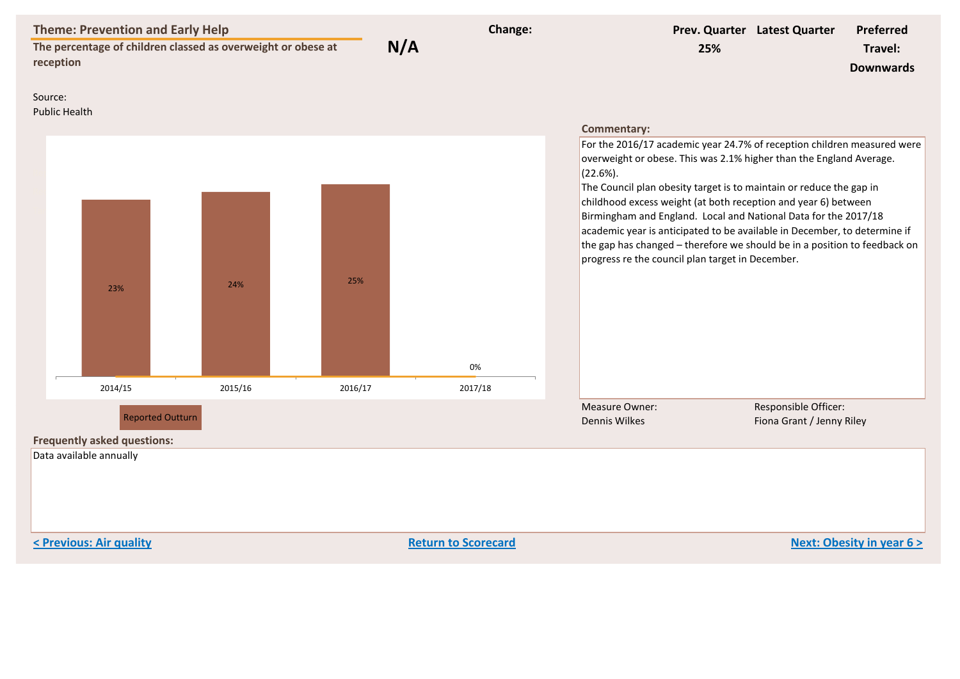| <b>Theme: Prevention and Early Help</b><br>The percentage of children classed as overweight or obese at<br>reception |         | N/A     | Change: | 25%                                                                                                                                                                                                                                                                                                                                                                                                                                                                                                                                                                                                           | Prev. Quarter Latest Quarter                      | <b>Preferred</b><br>Travel:<br><b>Downwards</b> |
|----------------------------------------------------------------------------------------------------------------------|---------|---------|---------|---------------------------------------------------------------------------------------------------------------------------------------------------------------------------------------------------------------------------------------------------------------------------------------------------------------------------------------------------------------------------------------------------------------------------------------------------------------------------------------------------------------------------------------------------------------------------------------------------------------|---------------------------------------------------|-------------------------------------------------|
| Source:<br><b>Public Health</b>                                                                                      |         |         |         |                                                                                                                                                                                                                                                                                                                                                                                                                                                                                                                                                                                                               |                                                   |                                                 |
| 23%                                                                                                                  | 24%     | 25%     | 0%      | <b>Commentary:</b><br>For the 2016/17 academic year 24.7% of reception children measured were<br>overweight or obese. This was 2.1% higher than the England Average.<br>$(22.6\%).$<br>The Council plan obesity target is to maintain or reduce the gap in<br>childhood excess weight (at both reception and year 6) between<br>Birmingham and England. Local and National Data for the 2017/18<br>academic year is anticipated to be available in December, to determine if<br>the gap has changed - therefore we should be in a position to feedback on<br>progress re the council plan target in December. |                                                   |                                                 |
| 2014/15                                                                                                              | 2015/16 | 2016/17 | 2017/18 |                                                                                                                                                                                                                                                                                                                                                                                                                                                                                                                                                                                                               |                                                   |                                                 |
| <b>Reported Outturn</b><br><b>Frequently asked questions:</b><br>Data available annually                             |         |         |         | <b>Measure Owner:</b><br><b>Dennis Wilkes</b>                                                                                                                                                                                                                                                                                                                                                                                                                                                                                                                                                                 | Responsible Officer:<br>Fiona Grant / Jenny Riley |                                                 |

**Previous: Air quality Return to Scorecard Return to Scorecard Return to Scorecard Next: Obesity in year 6 >**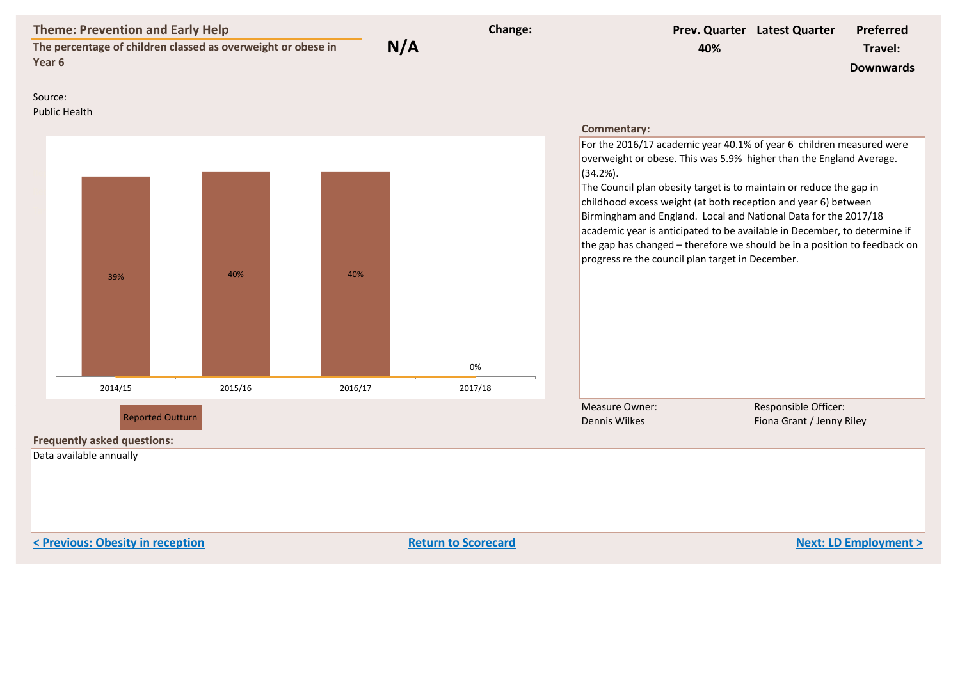| <b>Theme: Prevention and Early Help</b><br>The percentage of children classed as overweight or obese in<br>Year 6 |         |         | N/A | Change: | 40%                                                                                                                                                                                                                                                                                                                                                                                                                                                                                                                                                                                   | Prev. Quarter Latest Quarter                      | Preferred<br>Travel:<br><b>Downwards</b> |
|-------------------------------------------------------------------------------------------------------------------|---------|---------|-----|---------|---------------------------------------------------------------------------------------------------------------------------------------------------------------------------------------------------------------------------------------------------------------------------------------------------------------------------------------------------------------------------------------------------------------------------------------------------------------------------------------------------------------------------------------------------------------------------------------|---------------------------------------------------|------------------------------------------|
| Source:<br><b>Public Health</b>                                                                                   |         |         |     |         | <b>Commentary:</b>                                                                                                                                                                                                                                                                                                                                                                                                                                                                                                                                                                    |                                                   |                                          |
| 39%                                                                                                               | 40%     | 40%     |     | 0%      | For the 2016/17 academic year 40.1% of year 6 children measured were<br>overweight or obese. This was 5.9% higher than the England Average.<br>$(34.2\%)$ .<br>The Council plan obesity target is to maintain or reduce the gap in<br>childhood excess weight (at both reception and year 6) between<br>Birmingham and England. Local and National Data for the 2017/18<br>academic year is anticipated to be available in December, to determine if<br>the gap has changed - therefore we should be in a position to feedback on<br>progress re the council plan target in December. |                                                   |                                          |
| 2014/15                                                                                                           | 2015/16 | 2016/17 |     | 2017/18 |                                                                                                                                                                                                                                                                                                                                                                                                                                                                                                                                                                                       |                                                   |                                          |
| <b>Reported Outturn</b><br><b>Frequently asked questions:</b><br>Data available annually                          |         |         |     |         | <b>Measure Owner:</b><br><b>Dennis Wilkes</b>                                                                                                                                                                                                                                                                                                                                                                                                                                                                                                                                         | Responsible Officer:<br>Fiona Grant / Jenny Riley |                                          |

**Example 2 Return to Scorecard Return to Scorecard Return 10 Scorecard Return 10 Scorecard Next: LD Employment >**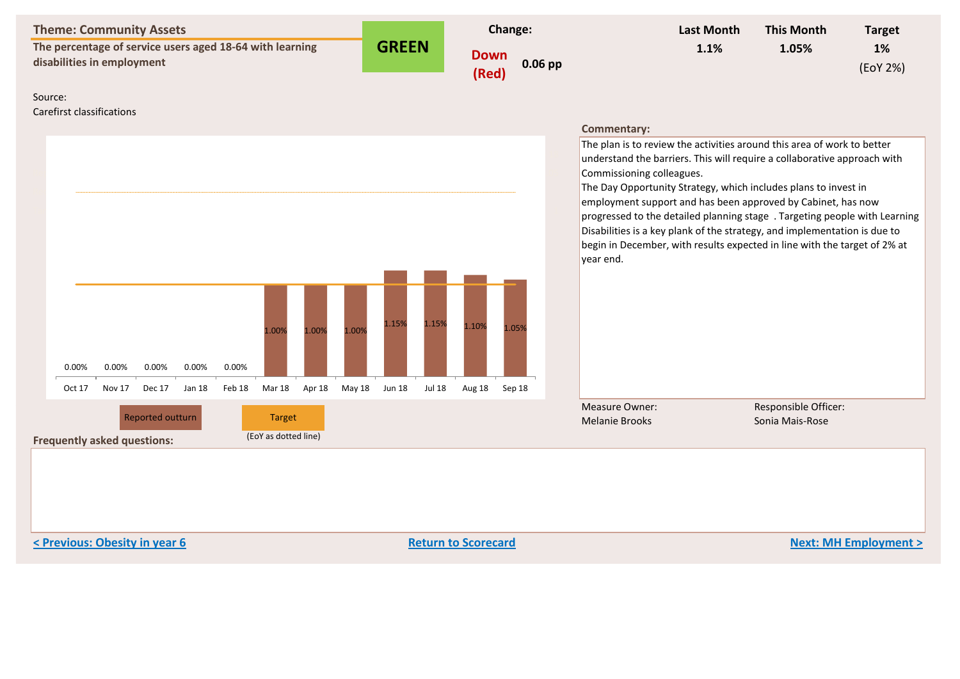| <b>Theme: Community Assets</b> |
|--------------------------------|
|--------------------------------|

**The percentage of service users aged 18-64 with learning**  disabilities in employment (Red)

**Frequently asked questions:** (EoY as dotted line)

**GREEN**



| <b>Last Month</b> | <b>This Month</b> | <b>Target</b> |
|-------------------|-------------------|---------------|
| 1.1%              | 1.05%             | <b>1%</b>     |
|                   |                   | (EoY 2%)      |

#### Source:

Carefirst classifications



# **Commentary:**

The plan is to review the activities around this area of work to better understand the barriers. This will require a collaborative approach with Commissioning colleagues.

The Day Opportunity Strategy, which includes plans to invest in employment support and has been approved by Cabinet, has now progressed to the detailed planning stage. Targeting people with Learning Disabilities is a key plank of the strategy, and implementation is due to begin in December, with results expected in line with the target of 2% at year end.

Measure Owner: Melanie Brooks

Responsible Officer:

**< Previous: Obesity in year 6 Return to Scorecard Next: MH Employment >**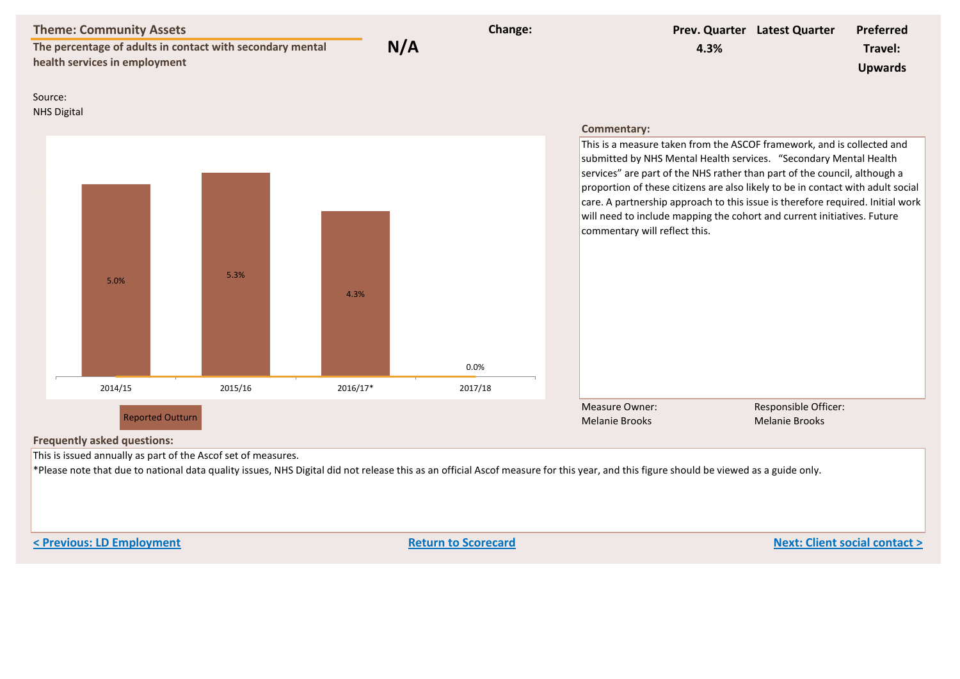| <b>Theme: Community Assets</b><br>The percentage of adults in contact with secondary mental<br>health services in employment |         | N/A      | Change: | 4.3%                                                                                                                                                                                                                                                                                                                                                                                                                                                                                                      | Prev. Quarter Latest Quarter                  | <b>Preferred</b><br>Travel:<br><b>Upwards</b> |
|------------------------------------------------------------------------------------------------------------------------------|---------|----------|---------|-----------------------------------------------------------------------------------------------------------------------------------------------------------------------------------------------------------------------------------------------------------------------------------------------------------------------------------------------------------------------------------------------------------------------------------------------------------------------------------------------------------|-----------------------------------------------|-----------------------------------------------|
| Source:<br><b>NHS Digital</b>                                                                                                |         |          |         | <b>Commentary:</b>                                                                                                                                                                                                                                                                                                                                                                                                                                                                                        |                                               |                                               |
| 5.0%                                                                                                                         | 5.3%    | 4.3%     | 0.0%    | This is a measure taken from the ASCOF framework, and is collected and<br>submitted by NHS Mental Health services. "Secondary Mental Health<br>services" are part of the NHS rather than part of the council, although a<br>proportion of these citizens are also likely to be in contact with adult social<br>care. A partnership approach to this issue is therefore required. Initial work<br>will need to include mapping the cohort and current initiatives. Future<br>commentary will reflect this. |                                               |                                               |
| 2014/15                                                                                                                      | 2015/16 | 2016/17* | 2017/18 |                                                                                                                                                                                                                                                                                                                                                                                                                                                                                                           |                                               |                                               |
| <b>Reported Outturn</b><br><b>Frequently asked questions:</b>                                                                |         |          |         | Measure Owner:<br><b>Melanie Brooks</b>                                                                                                                                                                                                                                                                                                                                                                                                                                                                   | Responsible Officer:<br><b>Melanie Brooks</b> |                                               |

This is issued annually as part of the Ascof set of measures.

 $*$ Please note that due to national data quality issues, NHS Digital did not release this as an official Ascof measure for this year, and this figure should be viewed as a guide only.

**Example 2018 Return to Scorecard Return to Scorecard Return 10 Scorecard Return 10 Scorecard Return 10 Scorecard Return 10 Scorecard Return 10 Scorecard Return 10 Scorecard Return 10 Scorecard Return 1**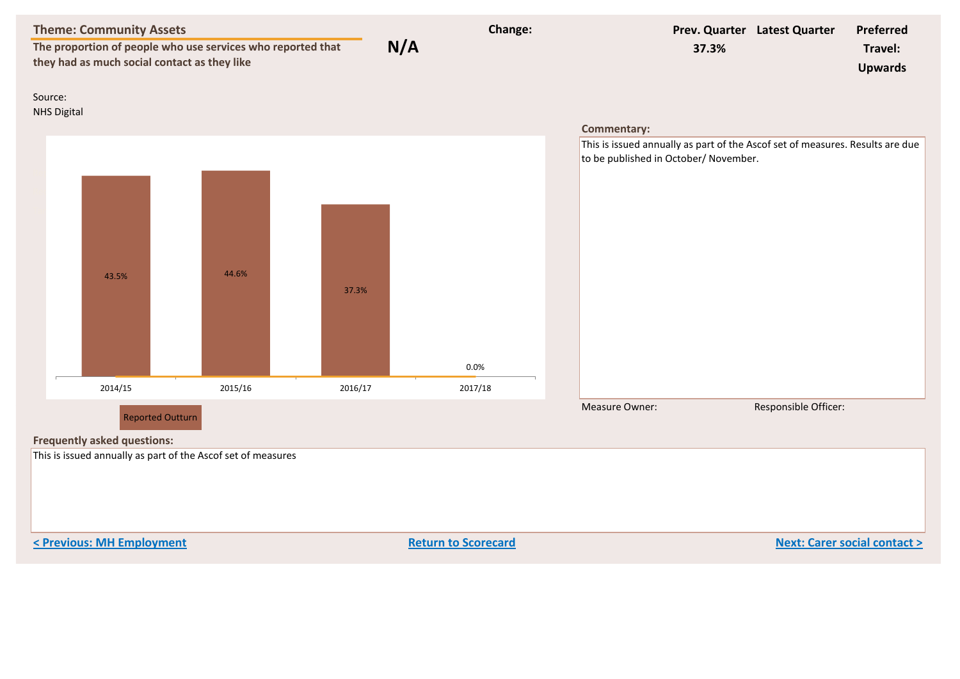